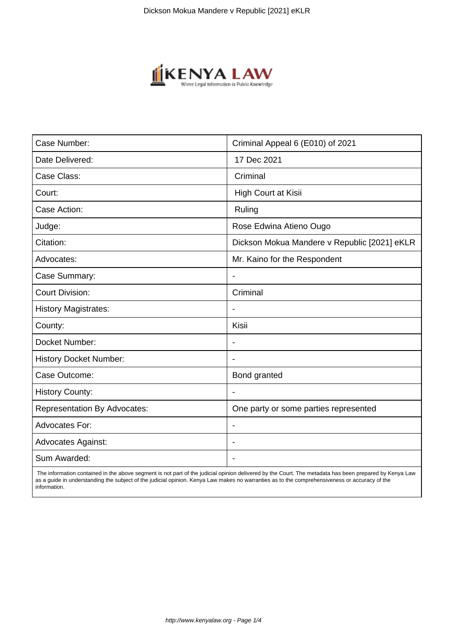

| Case Number:                        | Criminal Appeal 6 (E010) of 2021             |
|-------------------------------------|----------------------------------------------|
| Date Delivered:                     | 17 Dec 2021                                  |
| Case Class:                         | Criminal                                     |
| Court:                              | High Court at Kisii                          |
| Case Action:                        | Ruling                                       |
| Judge:                              | Rose Edwina Atieno Ougo                      |
| Citation:                           | Dickson Mokua Mandere v Republic [2021] eKLR |
| Advocates:                          | Mr. Kaino for the Respondent                 |
| Case Summary:                       |                                              |
| <b>Court Division:</b>              | Criminal                                     |
| <b>History Magistrates:</b>         |                                              |
| County:                             | Kisii                                        |
| Docket Number:                      |                                              |
| <b>History Docket Number:</b>       |                                              |
| Case Outcome:                       | Bond granted                                 |
| <b>History County:</b>              |                                              |
| <b>Representation By Advocates:</b> | One party or some parties represented        |
| <b>Advocates For:</b>               | $\overline{\phantom{a}}$                     |
| <b>Advocates Against:</b>           | $\overline{\phantom{0}}$                     |
| Sum Awarded:                        |                                              |

 The information contained in the above segment is not part of the judicial opinion delivered by the Court. The metadata has been prepared by Kenya Law as a guide in understanding the subject of the judicial opinion. Kenya Law makes no warranties as to the comprehensiveness or accuracy of the information.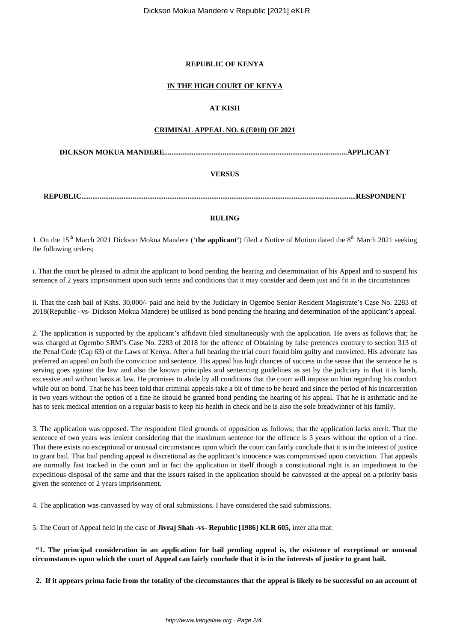## **REPUBLIC OF KENYA**

## **IN THE HIGH COURT OF KENYA**

## **AT KISII**

### **CRIMINAL APPEAL NO. 6 (E010) OF 2021**

**DICKSON MOKUA MANDERE....................................................................................................APPLICANT**

## **VERSUS**

**REPUBLIC......................................................................................................................................................RESPONDENT**

#### **RULING**

1. On the 15th March 2021 Dickson Mokua Mandere ('**the applicant'**) filed a Notice of Motion dated the 8th March 2021 seeking the following orders;

i. That the court be pleased to admit the applicant to bond pending the hearing and determination of his Appeal and to suspend his sentence of 2 years imprisonment upon such terms and conditions that it may consider and deem just and fit in the circumstances

ii. That the cash bail of Kshs. 30,000/- paid and held by the Judiciary in Ogembo Senior Resident Magistrate's Case No. 2283 of 2018(Republic –vs- Dickson Mokua Mandere) be utilised as bond pending the hearing and determination of the applicant's appeal.

2. The application is supported by the applicant's affidavit filed simultaneously with the application. He avers as follows that; he was charged at Ogembo SRM's Case No. 2283 of 2018 for the offence of Obtaining by false pretences contrary to section 313 of the Penal Code (Cap 63) of the Laws of Kenya. After a full hearing the trial court found him guilty and convicted. His advocate has preferred an appeal on both the conviction and sentence. His appeal has high chances of success in the sense that the sentence he is serving goes against the law and also the known principles and sentencing guidelines as set by the judiciary in that it is harsh, excessive and without basis at law. He promises to abide by all conditions that the court will impose on him regarding his conduct while out on bond. That he has been told that criminal appeals take a bit of time to be heard and since the period of his incarceration is two years without the option of a fine he should be granted bond pending the hearing of his appeal. That he is asthmatic and he has to seek medical attention on a regular basis to keep his health in check and he is also the sole breadwinner of his family.

3. The application was opposed. The respondent filed grounds of opposition as follows; that the application lacks merit. That the sentence of two years was lenient considering that the maximum sentence for the offence is 3 years without the option of a fine. That there exists no exceptional or unusual circumstances upon which the court can fairly conclude that it is in the interest of justice to grant bail. That bail pending appeal is discretional as the applicant's innocence was compromised upon conviction. That appeals are normally fast tracked in the court and in fact the application in itself though a constitutional right is an impediment to the expeditious disposal of the same and that the issues raised in the application should be canvassed at the appeal on a priority basis given the sentence of 2 years imprisonment.

4. The application was canvassed by way of oral submissions. I have considered the said submissions.

5. The Court of Appeal held in the case of **Jivraj Shah -vs- Republic [1986] KLR 605,** inter alia that:

**"1. The principal consideration in an application for bail pending appeal is, the existence of exceptional or unusual circumstances upon which the court of Appeal can fairly conclude that it is in the interests of justice to grant bail.** 

 **2. If it appears prima facie from the totality of the circumstances that the appeal is likely to be successful on an account of**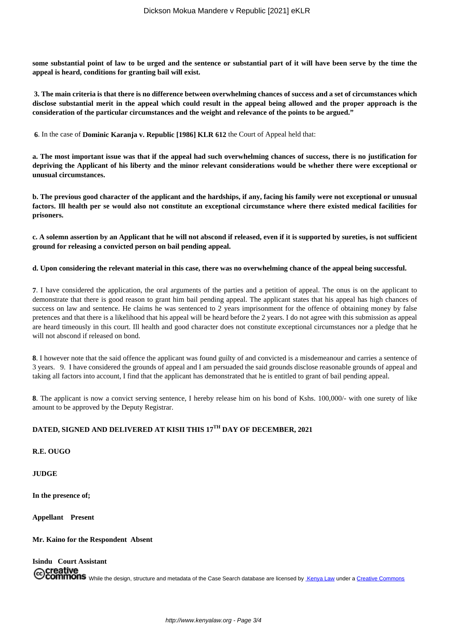**some substantial point of law to be urged and the sentence or substantial part of it will have been serve by the time the appeal is heard, conditions for granting bail will exist.**

**3. The main criteria is that there is no difference between overwhelming chances of success and a set of circumstances which disclose substantial merit in the appeal which could result in the appeal being allowed and the proper approach is the consideration of the particular circumstances and the weight and relevance of the points to be argued."**

**6**. In the case of **Dominic Karanja v. Republic [1986] KLR 612** the Court of Appeal held that:

**a. The most important issue was that if the appeal had such overwhelming chances of success, there is no justification for depriving the Applicant of his liberty and the minor relevant considerations would be whether there were exceptional or unusual circumstances.**

**b. The previous good character of the applicant and the hardships, if any, facing his family were not exceptional or unusual factors. Ill health per se would also not constitute an exceptional circumstance where there existed medical facilities for prisoners.**

**c. A solemn assertion by an Applicant that he will not abscond if released, even if it is supported by sureties, is not sufficient ground for releasing a convicted person on bail pending appeal.**

#### **d. Upon considering the relevant material in this case, there was no overwhelming chance of the appeal being successful.**

**7**. I have considered the application, the oral arguments of the parties and a petition of appeal. The onus is on the applicant to demonstrate that there is good reason to grant him bail pending appeal. The applicant states that his appeal has high chances of success on law and sentence. He claims he was sentenced to 2 years imprisonment for the offence of obtaining money by false pretences and that there is a likelihood that his appeal will be heard before the 2 years. I do not agree with this submission as appeal are heard timeously in this court. Ill health and good character does not constitute exceptional circumstances nor a pledge that he will not abscond if released on bond.

**8**. I however note that the said offence the applicant was found guilty of and convicted is a misdemeanour and carries a sentence of 3 years. 9. I have considered the grounds of appeal and I am persuaded the said grounds disclose reasonable grounds of appeal and taking all factors into account, I find that the applicant has demonstrated that he is entitled to grant of bail pending appeal.

**8**. The applicant is now a convict serving sentence, I hereby release him on his bond of Kshs. 100,000/- with one surety of like amount to be approved by the Deputy Registrar.

# **DATED, SIGNED AND DELIVERED AT KISII THIS 17TH DAY OF DECEMBER, 2021**

**R.E. OUGO**

**JUDGE**

**In the presence of;**

**Appellant Present**

**Mr. Kaino for the Respondent Absent**

**Isindu Court Assistant**

Creative<br>Commons While the design, structure and metadata of the Case Search database are licensed by Kenya Law under a Creative Commons